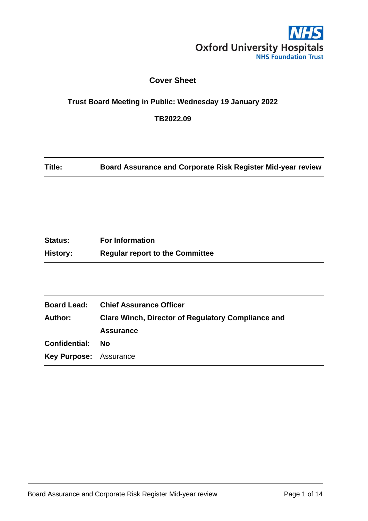

## **Cover Sheet**

## **Trust Board Meeting in Public: Wednesday 19 January 2022**

**TB2022.09**

**Title: Board Assurance and Corporate Risk Register Mid-year review**

| <b>Status:</b>  | <b>For Information</b>                 |
|-----------------|----------------------------------------|
| <b>History:</b> | <b>Regular report to the Committee</b> |

| <b>Chief Assurance Officer</b>                            |
|-----------------------------------------------------------|
| <b>Clare Winch, Director of Regulatory Compliance and</b> |
| <b>Assurance</b>                                          |
| - No                                                      |
| <b>Key Purpose: Assurance</b>                             |
|                                                           |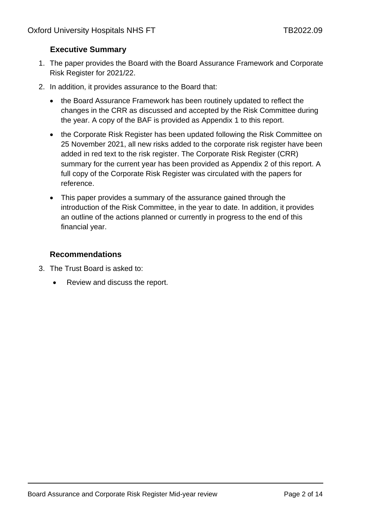## **Executive Summary**

- 1. The paper provides the Board with the Board Assurance Framework and Corporate Risk Register for 2021/22.
- 2. In addition, it provides assurance to the Board that:
	- the Board Assurance Framework has been routinely updated to reflect the changes in the CRR as discussed and accepted by the Risk Committee during the year. A copy of the BAF is provided as Appendix 1 to this report.
	- the Corporate Risk Register has been updated following the Risk Committee on 25 November 2021, all new risks added to the corporate risk register have been added in red text to the risk register. The Corporate Risk Register (CRR) summary for the current year has been provided as Appendix 2 of this report. A full copy of the Corporate Risk Register was circulated with the papers for reference.
	- This paper provides a summary of the assurance gained through the introduction of the Risk Committee, in the year to date. In addition, it provides an outline of the actions planned or currently in progress to the end of this financial year.

## **Recommendations**

- 3. The Trust Board is asked to:
	- Review and discuss the report.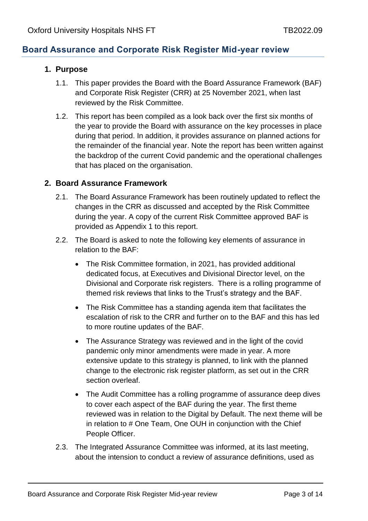## **Board Assurance and Corporate Risk Register Mid-year review**

## **1. Purpose**

- 1.1. This paper provides the Board with the Board Assurance Framework (BAF) and Corporate Risk Register (CRR) at 25 November 2021, when last reviewed by the Risk Committee.
- 1.2. This report has been compiled as a look back over the first six months of the year to provide the Board with assurance on the key processes in place during that period. In addition, it provides assurance on planned actions for the remainder of the financial year. Note the report has been written against the backdrop of the current Covid pandemic and the operational challenges that has placed on the organisation.

## **2. Board Assurance Framework**

- 2.1. The Board Assurance Framework has been routinely updated to reflect the changes in the CRR as discussed and accepted by the Risk Committee during the year. A copy of the current Risk Committee approved BAF is provided as Appendix 1 to this report.
- 2.2. The Board is asked to note the following key elements of assurance in relation to the BAF:
	- The Risk Committee formation, in 2021, has provided additional dedicated focus, at Executives and Divisional Director level, on the Divisional and Corporate risk registers. There is a rolling programme of themed risk reviews that links to the Trust's strategy and the BAF.
	- The Risk Committee has a standing agenda item that facilitates the escalation of risk to the CRR and further on to the BAF and this has led to more routine updates of the BAF.
	- The Assurance Strategy was reviewed and in the light of the covid pandemic only minor amendments were made in year. A more extensive update to this strategy is planned, to link with the planned change to the electronic risk register platform, as set out in the CRR section overleaf.
	- The Audit Committee has a rolling programme of assurance deep dives to cover each aspect of the BAF during the year. The first theme reviewed was in relation to the Digital by Default. The next theme will be in relation to # One Team, One OUH in conjunction with the Chief People Officer.
- 2.3. The Integrated Assurance Committee was informed, at its last meeting, about the intension to conduct a review of assurance definitions, used as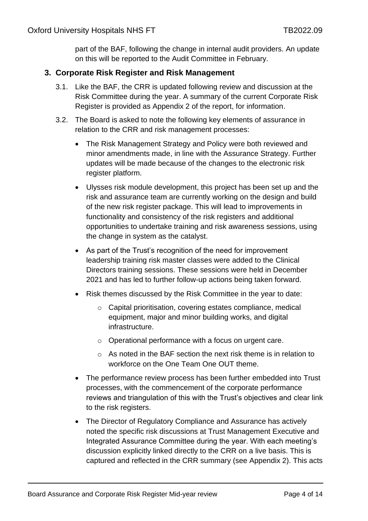part of the BAF, following the change in internal audit providers. An update on this will be reported to the Audit Committee in February.

## **3. Corporate Risk Register and Risk Management**

- 3.1. Like the BAF, the CRR is updated following review and discussion at the Risk Committee during the year. A summary of the current Corporate Risk Register is provided as Appendix 2 of the report, for information.
- 3.2. The Board is asked to note the following key elements of assurance in relation to the CRR and risk management processes:
	- The Risk Management Strategy and Policy were both reviewed and minor amendments made, in line with the Assurance Strategy. Further updates will be made because of the changes to the electronic risk register platform.
	- Ulysses risk module development, this project has been set up and the risk and assurance team are currently working on the design and build of the new risk register package. This will lead to improvements in functionality and consistency of the risk registers and additional opportunities to undertake training and risk awareness sessions, using the change in system as the catalyst.
	- As part of the Trust's recognition of the need for improvement leadership training risk master classes were added to the Clinical Directors training sessions. These sessions were held in December 2021 and has led to further follow-up actions being taken forward.
	- Risk themes discussed by the Risk Committee in the year to date:
		- o Capital prioritisation, covering estates compliance, medical equipment, major and minor building works, and digital infrastructure.
		- o Operational performance with a focus on urgent care.
		- o As noted in the BAF section the next risk theme is in relation to workforce on the One Team One OUT theme.
	- The performance review process has been further embedded into Trust processes, with the commencement of the corporate performance reviews and triangulation of this with the Trust's objectives and clear link to the risk registers.
	- The Director of Regulatory Compliance and Assurance has actively noted the specific risk discussions at Trust Management Executive and Integrated Assurance Committee during the year. With each meeting's discussion explicitly linked directly to the CRR on a live basis. This is captured and reflected in the CRR summary (see Appendix 2). This acts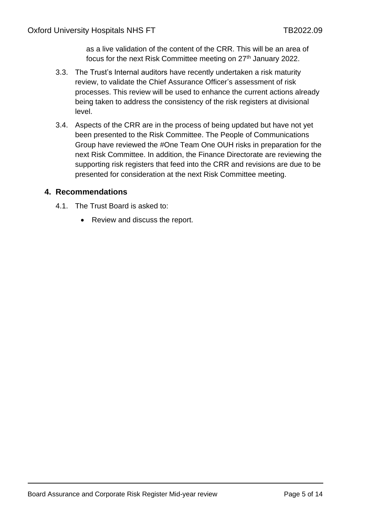as a live validation of the content of the CRR. This will be an area of focus for the next Risk Committee meeting on 27<sup>th</sup> January 2022.

- 3.3. The Trust's Internal auditors have recently undertaken a risk maturity review, to validate the Chief Assurance Officer's assessment of risk processes. This review will be used to enhance the current actions already being taken to address the consistency of the risk registers at divisional level.
- 3.4. Aspects of the CRR are in the process of being updated but have not yet been presented to the Risk Committee. The People of Communications Group have reviewed the #One Team One OUH risks in preparation for the next Risk Committee. In addition, the Finance Directorate are reviewing the supporting risk registers that feed into the CRR and revisions are due to be presented for consideration at the next Risk Committee meeting.

## **4. Recommendations**

- 4.1. The Trust Board is asked to:
	- Review and discuss the report.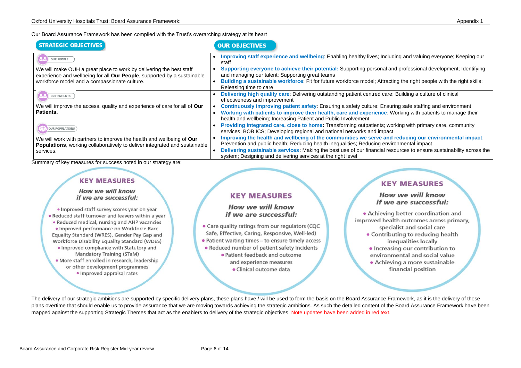| Our Board Assurance Framework has been complied with the Trust's overarching strategy at its heart |  |  |  |  |  |  |
|----------------------------------------------------------------------------------------------------|--|--|--|--|--|--|
|----------------------------------------------------------------------------------------------------|--|--|--|--|--|--|

| <b>STRATEGIC OBJECTIVES</b>                                                                                                                                                                                         | <b>OUR OBJECTIVES</b>                                                                                                                                                                                                                                                                                                                                                                                                                                  |
|---------------------------------------------------------------------------------------------------------------------------------------------------------------------------------------------------------------------|--------------------------------------------------------------------------------------------------------------------------------------------------------------------------------------------------------------------------------------------------------------------------------------------------------------------------------------------------------------------------------------------------------------------------------------------------------|
| <b>OUR PEOPLE</b><br>We will make OUH a great place to work by delivering the best staff<br>experience and wellbeing for all Our People, supported by a sustainable<br>workforce model and a compassionate culture. | Improving staff experience and wellbeing: Enabling healthy lives; Include<br>staff<br>Supporting everyone to achieve their potential: Supporting personal an<br>and managing our talent; Supporting great teams<br>Building a sustainable workforce: Fit for future workforce model; Attraction<br>Releasing time to care                                                                                                                              |
| <b>OUR PATIENTS</b><br>We will improve the access, quality and experience of care for all of Our<br>Patients.                                                                                                       | Delivering high quality care: Delivering outstanding patient centred care;<br>effectiveness and improvement<br><b>Continuously improving patient safety:</b> Ensuring a safety culture; Ensur<br>Working with patients to improve their health, care and experience: W<br>$\bullet$<br>health and wellbeing; Increasing Patient and Public Involvement                                                                                                 |
| <b>OUR POPULATIONS</b><br>We will work with partners to improve the health and wellbeing of Our<br>Populations, working collaboratively to deliver integrated and sustainable<br>services.                          | Providing integrated care, close to home: Transforming outpatients; work<br>services, BOB ICS; Developing regional and national networks and impact<br>Improving the health and wellbeing of the communities we serve and<br>Prevention and public health; Reducing health inequalities; Reducing envire<br>Delivering sustainable services: Making the best use of our financial rese<br>system; Designing and delivering services at the right level |

Summary of key measures for success noted in our strategy are:

# **KEY MEASURES**

## How we will know if we are successful:

· Improved staff survey scores year on year . Reduced staff turnover and leavers within a year . Reduced medical, nursing and AHP vacancies · Improved performance on Workforce Race Equality Standard (WRES), Gender Pay Gap and **Workforce Disability Equality Standard (WDES)** . Improved compliance with Statutory and Mandatory Training (STaM) · More staff enrolled in research, leadership or other development programmes · Improved appraisal rates

# **KEY MEASURES**

## How we will know if we are successful:

• Care quality ratings from our regulators (CQC Safe, Effective, Caring, Responsive, Well-led) • Patient waiting times - to ensure timely access • Reduced number of patient safety incidents

> · Patient feedback and outcome and experience measures

> > · Clinical outcome data

## How we will know if we are successful:

- -
	-
	- -

The delivery of our strategic ambitions are supported by specific delivery plans, these plans have / will be used to form the basis on the Board Assurance Framework, as it is the delivery of these plans overtime that should enable us to provide assurance that we are moving towards achieving the strategic ambitions. As such the detailed content of the Board Assurance Framework have been mapped against the supporting Strategic Themes that act as the enablers to delivery of the strategic objectives. Note updates have been added in red text.

**Ing and valuing everyone; Keeping our ling** 

d professional development; Identifying

ng the right people with the right skills;

**Building a culture of clinical** 

ing safe staffing and environment **Vorking with patients to manage their** 

**Francidism Providing integrated condity** the primary care, community

**reducing our environmental impact:** onmental impact ources to ensure sustainability across the

# **KEY MEASURES**

• Achieving better coordination and improved health outcomes across primary, specialist and social care • Contributing to reducing health inequalities locally · Increasing our contribution to environmental and social value · Achieving a more sustainable financial position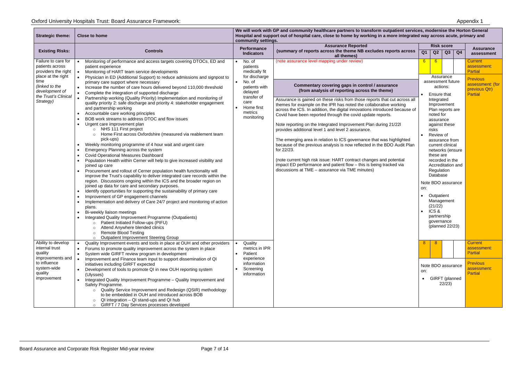| <b>Strategic theme:</b>                | <b>Close to home</b>                                                                                                                                   | We will work with GP and community healthcare partners to transform outpatient services, modernise the Horton General<br>Hospital and support out of hospital care, close to home by working in a more integrated way across acute, primary and<br>community settings. |                                                                                                                                                 |                           |                           |                                    |    |                                   |  |  |                   |  |                  |
|----------------------------------------|--------------------------------------------------------------------------------------------------------------------------------------------------------|------------------------------------------------------------------------------------------------------------------------------------------------------------------------------------------------------------------------------------------------------------------------|-------------------------------------------------------------------------------------------------------------------------------------------------|---------------------------|---------------------------|------------------------------------|----|-----------------------------------|--|--|-------------------|--|------------------|
|                                        |                                                                                                                                                        | <b>Performance</b>                                                                                                                                                                                                                                                     |                                                                                                                                                 |                           | <b>Assurance Reported</b> |                                    |    |                                   |  |  | <b>Risk score</b> |  | <b>Assurance</b> |
| <b>Existing Risks:</b>                 | <b>Controls</b>                                                                                                                                        | <b>Indicators</b>                                                                                                                                                                                                                                                      | (summary of reports across the theme NB excludes reports across<br>all themes)                                                                  | $\overline{Q1}$           | Q2                        | Q3                                 | Q4 | assessment                        |  |  |                   |  |                  |
| Failure to care for                    | Monitoring of performance and access targets covering DTOCs, ED and                                                                                    | No. of<br>$\bullet$                                                                                                                                                                                                                                                    | (note assurance level mapping under review)                                                                                                     | $6 \overline{6}$          | $6^{\circ}$               |                                    |    | <b>Current</b>                    |  |  |                   |  |                  |
| patients across<br>providers the right | patient experience                                                                                                                                     | patients<br>medically fit                                                                                                                                                                                                                                              |                                                                                                                                                 |                           |                           |                                    |    | assessment:<br>Partial            |  |  |                   |  |                  |
| place at the right                     | Monitoring of HART team service developments<br>Physician in ED (Additional Support) to reduce admissions and signpost to                              | for discharge                                                                                                                                                                                                                                                          |                                                                                                                                                 |                           | Assurance                 |                                    |    |                                   |  |  |                   |  |                  |
| time                                   | primary care support where necessary                                                                                                                   | No. of<br>$\bullet$                                                                                                                                                                                                                                                    |                                                                                                                                                 |                           |                           | assessment future                  |    | <b>Previous</b>                   |  |  |                   |  |                  |
| (linked to the                         | Increase the number of care hours delivered beyond 110,000 threshold                                                                                   | patients with                                                                                                                                                                                                                                                          | Commentary covering gaps in control / assurance                                                                                                 |                           | actions:                  |                                    |    | assessment: (for<br>previous Qtr) |  |  |                   |  |                  |
| development of<br>the Trust's Clinical | Complete the integration of supported discharge                                                                                                        | delayed                                                                                                                                                                                                                                                                | (from analysis of reporting across the theme)                                                                                                   |                           | Ensure that               |                                    |    | Partial                           |  |  |                   |  |                  |
| Strategy)                              | Partnership working (Quality Priority) Implementation and monitoring of                                                                                | transfer of<br>care                                                                                                                                                                                                                                                    | Assurance is gained on these risks from those reports that cut across all                                                                       |                           | Integrated                |                                    |    |                                   |  |  |                   |  |                  |
|                                        | quality priority 2: safe discharge and priority 4: stakeholder engagement<br>and partnership working                                                   | Home first                                                                                                                                                                                                                                                             | themes for example on the IPR has noted the collaborative working                                                                               |                           |                           | Improvement                        |    |                                   |  |  |                   |  |                  |
|                                        | Accountable care working principles                                                                                                                    | metrics                                                                                                                                                                                                                                                                | across the ICS. In addition, the digital innovations introduced because of<br>Covid have been reported through the covid update reports.        |                           | noted for                 | Plan reports are                   |    |                                   |  |  |                   |  |                  |
|                                        | BOB work streams to address DTOC and flow issues                                                                                                       | monitoring                                                                                                                                                                                                                                                             |                                                                                                                                                 |                           | assurance                 |                                    |    |                                   |  |  |                   |  |                  |
|                                        | Urgent care improvement plan                                                                                                                           |                                                                                                                                                                                                                                                                        | Note reporting on the Integrated Improvement Plan during 21/22l                                                                                 |                           |                           | against these                      |    |                                   |  |  |                   |  |                  |
|                                        | NHS 111 First project<br>$\circ$                                                                                                                       |                                                                                                                                                                                                                                                                        | provides additional level 1 and level 2 assurance.                                                                                              |                           | risks                     |                                    |    |                                   |  |  |                   |  |                  |
|                                        | Home First across Oxfordshire (measured via reablement team                                                                                            |                                                                                                                                                                                                                                                                        |                                                                                                                                                 |                           | Review of                 |                                    |    |                                   |  |  |                   |  |                  |
|                                        | pick-ups)<br>Weekly monitoring programme of 4 hour wait and urgent care                                                                                |                                                                                                                                                                                                                                                                        | The emerging area in relation to ICS governance that was highlighted<br>because of the previous analysis is now reflected in the BDO Audit Plan |                           |                           | assurance from<br>current clinical |    |                                   |  |  |                   |  |                  |
|                                        | Emergency Planning across the system                                                                                                                   |                                                                                                                                                                                                                                                                        | for 22/23.                                                                                                                                      |                           |                           | networks (ensure                   |    |                                   |  |  |                   |  |                  |
|                                        | <b>Covid Operational Measures Dashboard</b>                                                                                                            |                                                                                                                                                                                                                                                                        |                                                                                                                                                 |                           | these are                 |                                    |    |                                   |  |  |                   |  |                  |
|                                        | Population Health within Cerner will help to give increased visibility and                                                                             |                                                                                                                                                                                                                                                                        | (note current high risk issue: HART contract changes and potential                                                                              |                           |                           | recorded in the                    |    |                                   |  |  |                   |  |                  |
|                                        | joined up care                                                                                                                                         |                                                                                                                                                                                                                                                                        | impact ED performance and patient flow - this is being tracked via<br>discussions at TME - assurance via TME minutes)                           |                           |                           | Accreditation and                  |    |                                   |  |  |                   |  |                  |
|                                        | Procurement and rollout of Cerner population health functionality will<br>improve the Trust's capability to deliver integrated care records within the |                                                                                                                                                                                                                                                                        |                                                                                                                                                 |                           | Regulation<br>Database    |                                    |    |                                   |  |  |                   |  |                  |
|                                        | region. Discussions ongoing within the ICS and the broader region on                                                                                   |                                                                                                                                                                                                                                                                        |                                                                                                                                                 |                           |                           |                                    |    |                                   |  |  |                   |  |                  |
|                                        | joined up data for care and secondary purposes.                                                                                                        |                                                                                                                                                                                                                                                                        |                                                                                                                                                 | Note BDO assurance<br>on: |                           |                                    |    |                                   |  |  |                   |  |                  |
|                                        | Identify opportunities for supporting the sustainability of primary care                                                                               |                                                                                                                                                                                                                                                                        |                                                                                                                                                 |                           |                           |                                    |    |                                   |  |  |                   |  |                  |
|                                        | Improvement of GP engagement channels                                                                                                                  |                                                                                                                                                                                                                                                                        |                                                                                                                                                 |                           | Outpatient                |                                    |    |                                   |  |  |                   |  |                  |
|                                        | Implementation and delivery of Care 24/7 project and monitoring of action                                                                              |                                                                                                                                                                                                                                                                        |                                                                                                                                                 |                           | (21/22)                   | Management                         |    |                                   |  |  |                   |  |                  |
|                                        | plans.<br>Bi-weekly liaison meetings                                                                                                                   |                                                                                                                                                                                                                                                                        |                                                                                                                                                 |                           | ICS&                      |                                    |    |                                   |  |  |                   |  |                  |
|                                        | Integrated Quality Improvement Programme (Outpatients)                                                                                                 |                                                                                                                                                                                                                                                                        |                                                                                                                                                 |                           | partnership               |                                    |    |                                   |  |  |                   |  |                  |
|                                        | Patient Initiated Follow-ups (PIFU)                                                                                                                    |                                                                                                                                                                                                                                                                        |                                                                                                                                                 |                           | governance                |                                    |    |                                   |  |  |                   |  |                  |
|                                        | Attend Anywhere blended clinics                                                                                                                        |                                                                                                                                                                                                                                                                        |                                                                                                                                                 |                           |                           | (planned 22/23)                    |    |                                   |  |  |                   |  |                  |
|                                        | <b>Remote Blood Testing</b>                                                                                                                            |                                                                                                                                                                                                                                                                        |                                                                                                                                                 |                           |                           |                                    |    |                                   |  |  |                   |  |                  |
| Ability to develop                     | <b>Outpatient Improvement Steering Group</b><br>Quality Improvement events and tools in place at OUH and other providers                               | Quality                                                                                                                                                                                                                                                                |                                                                                                                                                 | 8                         | -8                        |                                    |    | <b>Current</b>                    |  |  |                   |  |                  |
| internal trust                         | Forums to promote quality improvement across the system in place                                                                                       | metrics in IPR                                                                                                                                                                                                                                                         |                                                                                                                                                 |                           |                           |                                    |    | assessment:                       |  |  |                   |  |                  |
| quality                                | System wide GIRFT review program in development                                                                                                        | Patient                                                                                                                                                                                                                                                                |                                                                                                                                                 |                           |                           |                                    |    | Partial                           |  |  |                   |  |                  |
| improvements and                       | Improvement and Finance team input to support dissemination of QI                                                                                      | experience                                                                                                                                                                                                                                                             |                                                                                                                                                 |                           |                           |                                    |    |                                   |  |  |                   |  |                  |
| to influence                           | initiatives including GIRFT expected                                                                                                                   | information                                                                                                                                                                                                                                                            |                                                                                                                                                 | Note BDO assurance        |                           |                                    |    | <b>Previous</b>                   |  |  |                   |  |                  |
| system-wide<br>quality                 | Development of tools to promote QI in new OUH reporting system                                                                                         | Screening<br>information                                                                                                                                                                                                                                               |                                                                                                                                                 | on:                       |                           |                                    |    | assessment:<br>Partial            |  |  |                   |  |                  |
| improvement                            | (Ulysses)<br>Integrated Quality Improvement Programme - Quality Improvement and                                                                        |                                                                                                                                                                                                                                                                        |                                                                                                                                                 | • GIRFT (planned          |                           |                                    |    |                                   |  |  |                   |  |                  |
|                                        | Safety Programme.                                                                                                                                      |                                                                                                                                                                                                                                                                        |                                                                                                                                                 |                           |                           | 22/23                              |    |                                   |  |  |                   |  |                  |
|                                        | o Quality Service Improvement and Redesign (QSIR) methodology                                                                                          |                                                                                                                                                                                                                                                                        |                                                                                                                                                 |                           |                           |                                    |    |                                   |  |  |                   |  |                  |
|                                        | to be embedded in OUH and introduced across BOB                                                                                                        |                                                                                                                                                                                                                                                                        |                                                                                                                                                 |                           |                           |                                    |    |                                   |  |  |                   |  |                  |
|                                        | QI integration - QI stand-ups and QI hub                                                                                                               |                                                                                                                                                                                                                                                                        |                                                                                                                                                 |                           |                           |                                    |    |                                   |  |  |                   |  |                  |
|                                        | GIRFT / 7 Day Services processes developed                                                                                                             |                                                                                                                                                                                                                                                                        |                                                                                                                                                 |                           |                           |                                    |    |                                   |  |  |                   |  |                  |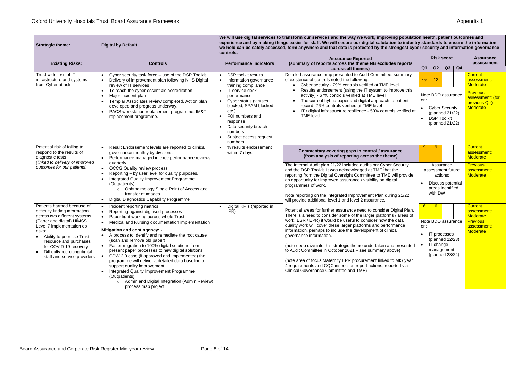| <b>Strategic theme:</b>                                                                                                                                                                                                                      | <b>Digital by Default</b>                                                                                                                                                                                                                                                                                                                                                                                                                                                                                                                                           | We will use digital services to transform our services and the way we work, improving population health, patient outcomes and<br>experience and by making things easier for staff. We will secure our digital salutation to industry standards to ensure the information<br>we hold can be safely accessed, form anywhere and that data is protected by the strongest cyber security and information governance<br>controls. |                                                                                                                                                                                                                                                                                                                                                                                                                                                                                                                                           |                                                                                                                         |                                                                         |  |  |  |
|----------------------------------------------------------------------------------------------------------------------------------------------------------------------------------------------------------------------------------------------|---------------------------------------------------------------------------------------------------------------------------------------------------------------------------------------------------------------------------------------------------------------------------------------------------------------------------------------------------------------------------------------------------------------------------------------------------------------------------------------------------------------------------------------------------------------------|------------------------------------------------------------------------------------------------------------------------------------------------------------------------------------------------------------------------------------------------------------------------------------------------------------------------------------------------------------------------------------------------------------------------------|-------------------------------------------------------------------------------------------------------------------------------------------------------------------------------------------------------------------------------------------------------------------------------------------------------------------------------------------------------------------------------------------------------------------------------------------------------------------------------------------------------------------------------------------|-------------------------------------------------------------------------------------------------------------------------|-------------------------------------------------------------------------|--|--|--|
| <b>Existing Risks:</b>                                                                                                                                                                                                                       | <b>Controls</b>                                                                                                                                                                                                                                                                                                                                                                                                                                                                                                                                                     | <b>Performance Indicators</b>                                                                                                                                                                                                                                                                                                                                                                                                | <b>Assurance Reported</b><br>(summary of reports across the theme NB excludes reports<br>across all themes)                                                                                                                                                                                                                                                                                                                                                                                                                               | <b>Risk score</b><br>Q3<br>Q4<br>Q <sub>1</sub><br>Q2                                                                   | <b>Assurance</b><br>assessment                                          |  |  |  |
| Trust-wide loss of IT<br>infrastructure and systems<br>from Cyber attack                                                                                                                                                                     | Cyber security task force - use of the DSP Toolkit<br>Delivery of improvement plan following NHS Digital<br>review of IT services                                                                                                                                                                                                                                                                                                                                                                                                                                   | <b>DSP</b> toolkit results<br>Information governance<br>training compliance                                                                                                                                                                                                                                                                                                                                                  | Detailed assurance map presented to Audit Committee: summary<br>of existence of controls noted the following:<br>Cyber security - 79% controls verified at TME level                                                                                                                                                                                                                                                                                                                                                                      | 12                                                                                                                      | <b>Current</b><br>assessment:<br>Moderate                               |  |  |  |
|                                                                                                                                                                                                                                              | To reach the cyber essentials accreditation<br>Major incident plan<br>Templar Associates review completed. Action plan<br>developed and progress underway.<br>PACS workstation replacement programme, IM&T<br>replacement programme.                                                                                                                                                                                                                                                                                                                                | IT service desk<br>performance<br>Cyber status (viruses<br>blocked, SPAM blocked<br>$etc.$ )<br>FOI numbers and<br>response<br>Data security breach<br>numbers<br>Subject access request<br>$\bullet$<br>numbers                                                                                                                                                                                                             | Results endorsement (using the IT system to improve this<br>activity) - 67% controls verified at TME level<br>The current hybrid paper and digital approach to patient<br>$\bullet$<br>record -76% controls verified at TME level<br>IT / digital infrastructure resilience - 50% controls verified at<br>$\bullet$<br><b>TME level</b>                                                                                                                                                                                                   | Note BDO assurance<br>on:<br><b>Cyber Security</b><br>(planned 21/22)<br><b>DSP Toolkit</b><br>(planned 21/22)          | <b>Previous</b><br>assessment: (for<br>previous Qtr)<br><b>Moderate</b> |  |  |  |
| Potential risk of failing to<br>respond to the results of<br>diagnostic tests<br>(linked to delivery of improved<br>outcomes for our patients)                                                                                               | Result Endorsement levels are reported to clinical<br>governance monthly by divisions<br>Performance managed in exec performance reviews                                                                                                                                                                                                                                                                                                                                                                                                                            | % results endorsement<br>within 7 days                                                                                                                                                                                                                                                                                                                                                                                       | Commentary covering gaps in control / assurance<br>(from analysis of reporting across the theme)                                                                                                                                                                                                                                                                                                                                                                                                                                          | 9                                                                                                                       | <b>Current</b><br>assessment:<br><b>Moderate</b>                        |  |  |  |
|                                                                                                                                                                                                                                              | quarterly<br><b>OCCG Quality review process</b><br>Reporting - by user level for quality purposes.<br>Integrated Quality Improvement Programme<br>(Outpatients)<br>Ophthalmology Single Point of Access and<br>$\circ$<br>transfer of images<br>Digital Diagnostics Capability Programme                                                                                                                                                                                                                                                                            |                                                                                                                                                                                                                                                                                                                                                                                                                              | The Internal Audit plan 21/22 included audits on: Cyber Security<br>and the DSP Toolkit. It was acknowledged at TME that the<br>reporting from the Digital Oversight Committee to TME will provide<br>an opportunity for improved assurance / visibility on digital<br>programmes of work.<br>Note reporting on the Integrated Improvement Plan during 21/22<br>will provide additional level 1 and level 2 assurance.                                                                                                                    | Assurance<br>assessment future<br>actions:<br>Discuss potential<br>areas identified<br>with DW                          | <b>Previous</b><br>assessment:<br>Moderate                              |  |  |  |
| Patients harmed because of<br>difficulty finding information<br>across two different systems                                                                                                                                                 | Incident reporting metrics<br>Reporting against digitised processes<br>Paper light working across whole Trust                                                                                                                                                                                                                                                                                                                                                                                                                                                       | Digital KPIs (reported in<br>IPR)                                                                                                                                                                                                                                                                                                                                                                                            | Potential areas for further assurance need to consider Digital Plan.<br>There is a need to consider some of the larger platforms / areas of                                                                                                                                                                                                                                                                                                                                                                                               |                                                                                                                         |                                                                         |  |  |  |
| (Paper and digital) HIMSS<br>Level 7 implementation op<br>risks:<br>Ability to prioritise Trust<br>$\bullet$<br>resource and purchases<br>for COVID 19 recovery<br>Difficulty recruiting digital<br>$\bullet$<br>staff and service providers | Medical and Nursing documentation implementation<br><b>Mitigation and contingency: -</b><br>• A process to identify and remediate the root cause<br>(scan and remove old paper)<br>Faster migration to 100% digital solutions from<br>present paper processes to new digital solutions<br>CDW 2.0 case (if approved and implemented) the<br>programme will deliver a detailed data baseline to<br>support quality improvement<br>Integrated Quality Improvement Programme<br>(Outpatients)<br>o Admin and Digital Integration (Admin Review)<br>process map project |                                                                                                                                                                                                                                                                                                                                                                                                                              | work: ESR / EPR) it would be useful to consider how the data<br>quality work will cover these larger platforms and performance<br>information, perhaps to include the development of clinical<br>governance information.<br>(note deep dive into this strategic theme undertaken and presented<br>to Audit Committee in October 2021 – see summary above)<br>(note area of focus Maternity EPR procurement linked to MIS year<br>4 requirements and CQC inspection report actions, reported via<br>Clinical Governance Committee and TME) | Note BDO assurance<br>on:<br>IT processes<br>$\bullet$<br>(planned 22/23)<br>IT change<br>management<br>(planned 23/24) | <b>Previous</b><br>assessment:<br>Moderate                              |  |  |  |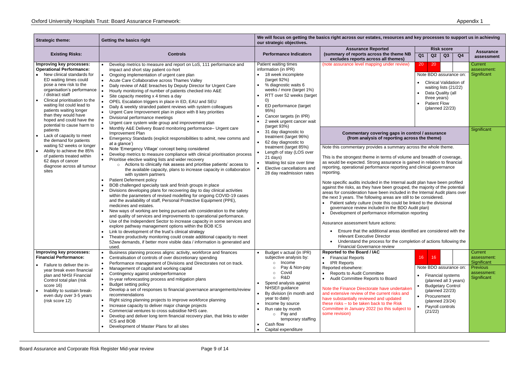| <b>Strategic theme:</b>                                                                                                                                                                                                                                                                                                                                                      | Getting the basics right                                                                                                                                                                                                                                                                                                                                                                                                                                                                                                                                                                                                                                                                                                                                                                                                                                                                                                                                                                                                                                                                                                                                                                                                                                                                                                                                                                                                | We will focus on getting the basics right across our estates, resources and key processes to support us in achieving<br>our strategic objectives.                                                                                                                                                                                                              |                                                                                                                                                                                                                                                                                                                                                                                                                                                                                                                                                                                                                                                                                                                                                                                                                                                                                                                                                                                                                                                        |                                                                                                                                                                                                  |                                                                                 |  |
|------------------------------------------------------------------------------------------------------------------------------------------------------------------------------------------------------------------------------------------------------------------------------------------------------------------------------------------------------------------------------|-------------------------------------------------------------------------------------------------------------------------------------------------------------------------------------------------------------------------------------------------------------------------------------------------------------------------------------------------------------------------------------------------------------------------------------------------------------------------------------------------------------------------------------------------------------------------------------------------------------------------------------------------------------------------------------------------------------------------------------------------------------------------------------------------------------------------------------------------------------------------------------------------------------------------------------------------------------------------------------------------------------------------------------------------------------------------------------------------------------------------------------------------------------------------------------------------------------------------------------------------------------------------------------------------------------------------------------------------------------------------------------------------------------------------|----------------------------------------------------------------------------------------------------------------------------------------------------------------------------------------------------------------------------------------------------------------------------------------------------------------------------------------------------------------|--------------------------------------------------------------------------------------------------------------------------------------------------------------------------------------------------------------------------------------------------------------------------------------------------------------------------------------------------------------------------------------------------------------------------------------------------------------------------------------------------------------------------------------------------------------------------------------------------------------------------------------------------------------------------------------------------------------------------------------------------------------------------------------------------------------------------------------------------------------------------------------------------------------------------------------------------------------------------------------------------------------------------------------------------------|--------------------------------------------------------------------------------------------------------------------------------------------------------------------------------------------------|---------------------------------------------------------------------------------|--|
| <b>Existing Risks:</b>                                                                                                                                                                                                                                                                                                                                                       | <b>Controls</b>                                                                                                                                                                                                                                                                                                                                                                                                                                                                                                                                                                                                                                                                                                                                                                                                                                                                                                                                                                                                                                                                                                                                                                                                                                                                                                                                                                                                         | <b>Performance Indicators</b>                                                                                                                                                                                                                                                                                                                                  | <b>Assurance Reported</b><br>(summary of reports across the theme NB<br>excludes reports across all themes)                                                                                                                                                                                                                                                                                                                                                                                                                                                                                                                                                                                                                                                                                                                                                                                                                                                                                                                                            | <b>Risk score</b><br>Q1<br>Q2<br>Q3<br>Q <sub>4</sub>                                                                                                                                            | <b>Assurance</b><br>assessment                                                  |  |
| Improving key processes:<br><b>Operational Performance:</b><br>New clinical standards for<br>ED waiting times could<br>pose a new risk to the<br>organisation's performance<br>/ distract staff<br>Clinical prioritisation to the<br>waiting list could lead to<br>patients waiting longer<br>than they would have<br>hoped and could have the<br>potential to cause harm to | Develop metrics to measure and report on LoS, 111 performance and<br>impact and short stay patient co-hort<br>Ongoing implementation of urgent care plan<br>Acute Care Collaborative across Thames Valley<br>Daily review of A&E breaches by Deputy Director for Urgent Care<br>Hourly monitoring of number of patients checked into A&E<br>Site capacity meeting x 4 times a day<br>OPEL Escalation triggers in place in ED, EAU and SEU<br>Daily & weekly stranded patient reviews with system colleagues<br>Urgent Care Improvement plan in place with 8 key priorities<br>Divisional performance meetings<br>Urgent care system wide group and improvement plan                                                                                                                                                                                                                                                                                                                                                                                                                                                                                                                                                                                                                                                                                                                                                     | Patient waiting times<br>information (in IPR)<br>18 week incomplete<br>(target 92%)<br>% diagnostic waits 6<br>weeks / more (target 1%)<br>RTT over 52 weeks (target<br>0)<br>ED performance (target<br>95%)<br>Cancer targets (in IPR)<br>2 week urgent cancer wait<br>(target 93%)                                                                           | (note assurance level mapping under review)                                                                                                                                                                                                                                                                                                                                                                                                                                                                                                                                                                                                                                                                                                                                                                                                                                                                                                                                                                                                            | 20<br>20<br>Note BDO assurance on:<br><b>Clinical Validation of</b><br>waiting lists (21/22)<br>Data Quality (all<br>three years)<br><b>Patient Flow</b><br>(planned 22/23)                      | Current<br>assessment:<br>Significant                                           |  |
| patients<br>Lack of capacity to meet<br>the demand for patients<br>waiting 52 weeks or longer<br>Ability to achieve the 85%<br>of patients treated within<br>62 days of cancer<br>diagnose across all tumour<br>sites                                                                                                                                                        | Monthly A&E Delivery Board monitoring performance- Urgent care<br>Improvement Plan<br>Emergency Standards (explicit responsibilities to admit, new comms and<br>at a glance')<br>Note 'Emergency Village' concept being considered<br>Develop metrics to measure compliance with clinical prioritisation process<br>Prioritise elective waiting lists and wider recovery<br>Actions to clinically risk assess and prioritise patients' access to<br>$\circ$<br>the available capacity, plans to increase capacity in collaboration<br>with system partners<br>Patient Deferment policy<br>BOB challenged specialty task and finish groups in place<br>Divisions developing plans for recovering day to day clinical activities<br>within the parameters of revised modelling for ongoing COVID-19 cases<br>and the availability of staff, Personal Protective Equipment (PPE),<br>medicines and estates.<br>New ways of working are being pursued with consideration to the safety<br>and quality of services and improvements to operational performance.<br>Use of the Independent Sector to increase capacity in some services and<br>explore pathway management options within the BOB ICS<br>Link to development of the trust's clinical strategy<br>Theatre productivity monitoring could create additional capacity to meet<br>52ww demands, if better more visible data / information is generated and<br>used. | 31 day diagnostic to<br>treatment (target 96%)<br>62 day diagnostic to<br>treatment (target 85%)<br>Length of stay (LOS over<br>21 days)<br>Waiting list size over time<br>Elective cancellations and<br>28 day readmission rates                                                                                                                              | Commentary covering gaps in control / assurance<br>(from analysis of reporting across the theme)<br>Note this commentary provides a summary across the whole theme.<br>This is the strongest theme in terms of volume and breadth of coverage,<br>as would be expected. Strong assurance is gained in relation to financial<br>reporting, operational performance reporting and clinical governance<br>Note specific audits included in the Internal audit plan have been profiled<br>against the risks, as they have been grouped, the majority of the potential<br>areas for consideration have been included in the Internal Audit plans over<br>the next 3 years. The following areas are still to be considered.<br>• Patient safety culture (note this could be linked to the divisional<br>governance review included in the BDO Audit plan)<br>• Development of performance information reporting<br>Ensure that the additional areas identified are considered with the<br>Understand the process for the completion of actions following the | Significant                                                                                                                                                                                      |                                                                                 |  |
| Improving key processes:<br><b>Financial Performance:</b><br>Failure to deliver the in-<br>year break even financial<br>plan and NHSI Financial<br>Control total plan (risk<br>score 16)<br>Inability to sustain break-<br>even duty over 3-5 years<br>(risk score 12)                                                                                                       | Business planning process aligns: activity, workforce and finances<br>Centralisation of controls of over discretionary spending<br>Performance management of Divisions and Directorates not on track.<br>$\bullet$<br>Management of capital and working capital<br>Contingency against underperformance<br>In-year reforecasting process and mitigation plans<br><b>Budget setting policy</b><br>Develop a set of responses to financial governance arrangements/review<br>recommendations<br>Right sizing planning projects to improve workforce planning<br>Increase capacity to deliver major change projects<br>Commercial ventures to cross subsidise NHS care.<br>Develop and deliver long term financial recovery plan, that links to wider<br>ICS and BOB<br>Development of Master Plans for all sites                                                                                                                                                                                                                                                                                                                                                                                                                                                                                                                                                                                                          | Budget v actual (in IPR)<br>subjective analysis by:<br>Income<br>$\circ$<br>Pay & Non-pay<br>Covid<br>$\Omega$<br>R&D<br>$\circ$<br>Spend analysis against<br>NHSE/I guidance<br>By division (in month and<br>year to date)<br>Income by source<br>Run rate by month<br>$\circ$ Pay and<br>temporary staffing<br>Cash flow<br>$\bullet$<br>Capital expenditure | <b>Reported to the Board / IAC</b><br>• Financial Reports<br>• IPR Reports<br>Reported elsewhere:<br><b>Reports to Audit Committee</b><br>Audit Committee Reports to Board<br>Note the Finance Directorate have undertaken<br>and extensive review of the current risks and<br>have substantially reviewed and updated<br>these risks - to be taken back to the Risk<br>Committee in January 2022 (so this subject to<br>some revision)                                                                                                                                                                                                                                                                                                                                                                                                                                                                                                                                                                                                                | 16<br>16<br>Note BDO assurance on:<br>Financial systems<br>(planned all 3 years)<br><b>Budgetary Control</b><br>(planned 22/23)<br>Procurement<br>(planned 23/24)<br>Payroll controls<br>(21/22) | Current<br>assessment:<br>Significant<br>Previous<br>assessment:<br>Significant |  |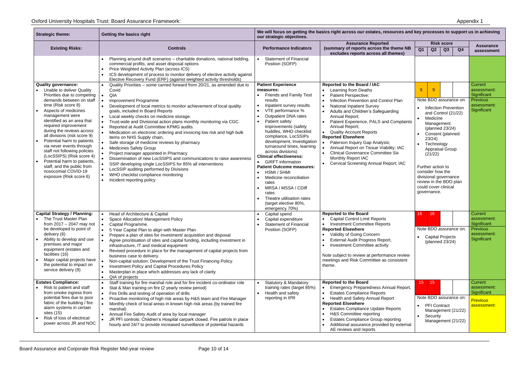| <b>Strategic theme:</b>                                                                                                                                                                                                                                                                                                                                                                                                                                                                                                                       | Getting the basics right                                                                                                                                                                                                                                                                                                                                                                                                                                                                                                                                                                                                                                                                                                                                                                                                                                                                     | We will focus on getting the basics right across our estates, resources and key processes to support us in achieving<br>our strategic objectives.                                                                                                                                                                                                                                                                                                                                                                                                                                                             |                                                                                                                                                                                                                                                                                                                                                                                                                                                                                                                                                                  |                                                                                                                                                                                                                                                                                                                                                          |                                                                                 |  |  |
|-----------------------------------------------------------------------------------------------------------------------------------------------------------------------------------------------------------------------------------------------------------------------------------------------------------------------------------------------------------------------------------------------------------------------------------------------------------------------------------------------------------------------------------------------|----------------------------------------------------------------------------------------------------------------------------------------------------------------------------------------------------------------------------------------------------------------------------------------------------------------------------------------------------------------------------------------------------------------------------------------------------------------------------------------------------------------------------------------------------------------------------------------------------------------------------------------------------------------------------------------------------------------------------------------------------------------------------------------------------------------------------------------------------------------------------------------------|---------------------------------------------------------------------------------------------------------------------------------------------------------------------------------------------------------------------------------------------------------------------------------------------------------------------------------------------------------------------------------------------------------------------------------------------------------------------------------------------------------------------------------------------------------------------------------------------------------------|------------------------------------------------------------------------------------------------------------------------------------------------------------------------------------------------------------------------------------------------------------------------------------------------------------------------------------------------------------------------------------------------------------------------------------------------------------------------------------------------------------------------------------------------------------------|----------------------------------------------------------------------------------------------------------------------------------------------------------------------------------------------------------------------------------------------------------------------------------------------------------------------------------------------------------|---------------------------------------------------------------------------------|--|--|
| <b>Existing Risks:</b>                                                                                                                                                                                                                                                                                                                                                                                                                                                                                                                        | <b>Controls</b>                                                                                                                                                                                                                                                                                                                                                                                                                                                                                                                                                                                                                                                                                                                                                                                                                                                                              | <b>Performance Indicators</b>                                                                                                                                                                                                                                                                                                                                                                                                                                                                                                                                                                                 | <b>Assurance Reported</b><br>(summary of reports across the theme NB<br>excludes reports across all themes)                                                                                                                                                                                                                                                                                                                                                                                                                                                      | <b>Risk score</b><br>Q <sub>1</sub><br>Q2<br>Q3<br>Q4                                                                                                                                                                                                                                                                                                    | <b>Assurance</b><br>assessment                                                  |  |  |
|                                                                                                                                                                                                                                                                                                                                                                                                                                                                                                                                               | Planning around draft scenarios - charitable donations, national bidding,<br>commercial profits, and asset disposal options<br>Price Weighted Activity Plan (across ICS)<br>ICS development of process to monitor delivery of elective activity against<br>Elective Recovery Fund (ERF) (against weighted activity thresholds)                                                                                                                                                                                                                                                                                                                                                                                                                                                                                                                                                               | <b>Statement of Financial</b><br>Position (SOFP)                                                                                                                                                                                                                                                                                                                                                                                                                                                                                                                                                              |                                                                                                                                                                                                                                                                                                                                                                                                                                                                                                                                                                  |                                                                                                                                                                                                                                                                                                                                                          |                                                                                 |  |  |
| <b>Quality governance:</b><br>Unable to deliver Quality<br>Priorities due to competing<br>demands between on staff<br>time (Risk score 8)<br>Aspects of medicines<br>management were<br>identified as an area that<br>required improvement<br>during the reviews across<br>all divisions (risk score 9)<br>Potential harm to patients<br>via never events through<br>staff not following policies<br>(LocSSIPS) (Risk score 4)<br>Potential harm to patients,<br>staff, and the public from<br>nosocomial COVID-19<br>exposure (Risk score 6) | Quality Priorities – some carried forward from 20/21, as amended due to<br>$\bullet$<br>Covid<br>QIA<br>Improvement Programme<br>Development of local metrics to monitor achievement of local quality<br>goals, included in Board Reports<br>Local weekly checks on medicine storage.<br>Trust-wide and Divisional action plans monthly monitoring via CGC.<br>Reported at Audit Committee KPMG audits.<br>Medication on electronic ordering and invoicing low risk and high bulk<br>items on NHS Supply chain,<br>Safe storage of medicine reviews by pharmacy<br><b>Medicines Safety Group</b><br>Project manager appointed in Pharmacy<br>Dissemination of new LocSSIPS and communications to raise awareness<br>SSIP developing single LocSSIPS for 85% all interventions<br>LocSSIP auditing performed by Divisions<br>WHO checklist compliance monitoring<br>Incident reporting policy | <b>Patient Experience</b><br>measures:<br><b>Friends and Family Test</b><br>results<br>Inpatient survey results<br>VTE performance %<br><b>Outpatient DNA rates</b><br>Patient safety<br>improvements (safety<br>huddles, WHO checklist<br>compliance, LocSSIPs<br>development, Investigation<br>turnaround times, learning<br>across divisions)<br><b>Clinical effectiveness:</b><br><b>GIRFT</b> information<br><b>Patient Outcome measures:</b><br>HSMI / SHMI<br>Medicine reconciliation<br>rates<br>MRSA / MSSA / CDiff<br>rates<br>Theatre utilisation rates<br>(target elective 80%,<br>emergency 70%) | <b>Reported to the Board / IAC</b><br>Learning from Deaths<br><b>Patient Perspective:</b><br>Infection Prevention and Control Plan<br><b>National Inpatient Survey</b><br>Adults and Children's Safeguarding<br>Annual Report;<br>Patient Experience, PALS and Complaints<br>Annual Report;<br><b>Quality Account Reports</b><br><b>Reported Elsewhere</b><br>Paterson Inquiry Gap Analysis;<br>$\bullet$<br>Annual Report on Tissue Viability; IAC<br><b>Clinical Governance Committee Six</b><br>Monthly Report IAC<br>• Cervical Screening Annual Report; IAC | 9<br>-9<br>Note BDO assurance on:<br><b>Infection Prevention</b><br>and Control (21/22)<br>Medicine<br>Management<br>(planned 23/24)<br>Consent (planned<br>23/24)<br>Technology<br><b>Appraisal Group</b><br>(21/22)<br>Further action to<br>consider how the<br>divisional governance<br>review in the BDO plan<br>could cover clinical<br>governance. | Current<br>assessment:<br>Significant<br>Previous<br>assessment:<br>Significant |  |  |
| <b>Capital Strategy / Planning:</b><br>The Trust Master Plan<br>from $2017 - 2047$ may not<br>be developed to point of<br>delivery (6)<br>Ability to develop and use<br>premises and major<br>equipment (estates and<br>facilities (16)<br>Major capital projects have<br>the potential to impact on<br>service delivery (9)                                                                                                                                                                                                                  | Head of Architecture & Capital<br>Space Allocation/ Management Policy<br>Capital Programme.<br>5 Year Capital Plan to align with Master Plan<br>Prepare a plan of sites for investment/ acquisition and disposal<br>Agree prioritisation of sites and capital funding, including investment in<br>infrastructure, IT and medical equipment<br>Revised procedure in place for the management of capital projects from<br>business case to delivery.<br>Non-capital solution: Development of the Trust Financing Policy.<br>Investment Policy and Capital Procedures Policy<br>Masterplan in place which addresses any lack of clarity<br>QIA of projects                                                                                                                                                                                                                                      | Capital spend<br>Capital expenditure<br><b>Statement of Financial</b><br>Position (SOFP)                                                                                                                                                                                                                                                                                                                                                                                                                                                                                                                      | <b>Reported to the Board</b><br>• Capital Control Limit Reports<br>• Investment Committee Reports<br><b>Reported Elsewhere</b><br>• Validity of Going Concern<br><b>External Audit Progress Report,</b><br><b>Investment Committee activity</b><br>Note subject to review at performance review<br>meetings and Risk Committee as consistent<br>theme.                                                                                                                                                                                                           | 16<br>16<br>Note BDO assurance on:<br><b>Capital Projects</b><br>(planned 23/24)                                                                                                                                                                                                                                                                         | Current<br>assessment:<br>Significant<br>Previous<br>assessment:<br>Significant |  |  |
| <b>Estates Compliance:</b><br>Risk to patient and staff<br>from smoke ingress from<br>potential fires due to poor<br>fabric of the building / fire<br>alarm systems in certain<br>sites (15)<br>Risk of loss of electrical<br>power across JR and NOC                                                                                                                                                                                                                                                                                         | Staff training for fire marshal role and for fire incident co-ordinator role<br>Stat & Man training on fire (2 yearly review period)<br>Fire Drills and testing of operation of drills<br>Proactive monitoring of high risk areas by H&S team and Fire Manager<br>Monthly check of local areas in known high risk areas (by trained fire<br>marshal)<br>Annual Fire Safety Audit of area by local manager<br>JR PFI controls: Children's Hospital carpark closed. Fire patrols in place<br>hourly and 24/7 to provide increased surveillance of potential hazards                                                                                                                                                                                                                                                                                                                            | <b>Statutory &amp; Mandatory</b><br>training rates (target 85%)<br>Health and safety<br>reporting in IPR                                                                                                                                                                                                                                                                                                                                                                                                                                                                                                      | <b>Reported to the Board</b><br>Emergency Preparedness Annual Report,<br><b>Estates Compliance Reports</b><br>Health and Safety Annual Report<br><b>Reported Elsewhere</b><br><b>Estates Compliance Update Reports</b><br>H&S Committee reporting<br><b>Estates Compliance Group reporting</b><br>Additional assurance provided by external<br>AE reviews and reports                                                                                                                                                                                            | 15.<br>15<br>Note BDO assurance on:<br><b>PFI Contract</b><br>Management (21/22)<br>Security<br>Management (21/22)                                                                                                                                                                                                                                       | Current<br>assessment:<br>Significant<br><b>Previous</b><br>assessment:         |  |  |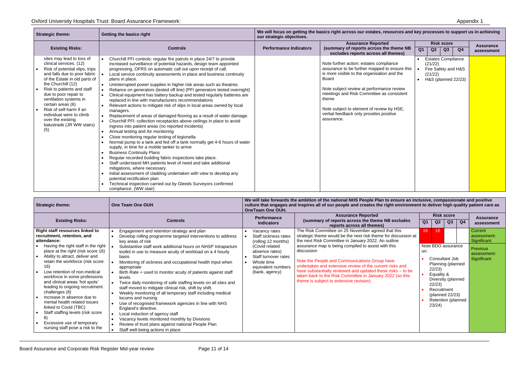| <b>Strategic theme:</b>                                                                                                                                                                                                                                                                                                                                                                             | Getting the basics right                                                                                                                                                                                                                                                                                                                                                                                                                                                                                                                                                                                                                                                                                                                                                                                                                                                                                                                                                                                                                                                                                                                                                                                                                                                                                                                                                                                                                                                                                                    | We will focus on getting the basics right across our estates, resources and key processes to support us in achieving<br>our strategic objectives. |                                                                                                                                                                                                                                                                                                                                                                 |                |                    |                                                                         |                |                                |
|-----------------------------------------------------------------------------------------------------------------------------------------------------------------------------------------------------------------------------------------------------------------------------------------------------------------------------------------------------------------------------------------------------|-----------------------------------------------------------------------------------------------------------------------------------------------------------------------------------------------------------------------------------------------------------------------------------------------------------------------------------------------------------------------------------------------------------------------------------------------------------------------------------------------------------------------------------------------------------------------------------------------------------------------------------------------------------------------------------------------------------------------------------------------------------------------------------------------------------------------------------------------------------------------------------------------------------------------------------------------------------------------------------------------------------------------------------------------------------------------------------------------------------------------------------------------------------------------------------------------------------------------------------------------------------------------------------------------------------------------------------------------------------------------------------------------------------------------------------------------------------------------------------------------------------------------------|---------------------------------------------------------------------------------------------------------------------------------------------------|-----------------------------------------------------------------------------------------------------------------------------------------------------------------------------------------------------------------------------------------------------------------------------------------------------------------------------------------------------------------|----------------|--------------------|-------------------------------------------------------------------------|----------------|--------------------------------|
| <b>Existing Risks:</b>                                                                                                                                                                                                                                                                                                                                                                              | <b>Controls</b>                                                                                                                                                                                                                                                                                                                                                                                                                                                                                                                                                                                                                                                                                                                                                                                                                                                                                                                                                                                                                                                                                                                                                                                                                                                                                                                                                                                                                                                                                                             | <b>Performance Indicators</b>                                                                                                                     | <b>Assurance Reported</b><br>(summary of reports across the theme NB<br>excludes reports across all themes)                                                                                                                                                                                                                                                     | Q <sub>1</sub> | Q2                 | <b>Risk score</b><br>Q3                                                 | Q <sub>4</sub> | <b>Assurance</b><br>assessment |
| sites may lead to loss of<br>clinical services. (12)<br>Risk of potential slips, trips<br>and falls due to poor fabric<br>of the Estate in old parts of<br>the Churchill (12)<br>Risk to patients and staff<br>due to poor repair to<br>ventilation systems in<br>certain areas (6)<br>Risk of self-harm if an<br>individual were to climb<br>over the existing<br>balustrade (JR WW stairs)<br>(5) | Churchill PFI controls: regular fire patrols in place 24/7 to provide<br>increased surveillance of potential hazards, design team appointed<br>progressing, OFRS on automatic call out upon receipt of call.<br>Local service continuity assessments in place and business continuity<br>plans in place.<br>Uninterrupted power supplies in higher risk areas such as theatres.<br>Reliance on generators (tested off line) (PFI generators tested overnight)<br>Clinical equipment has battery backup and tested regularly batteries are<br>replaced in line with manufacturers recommendations<br>Relevant actions to mitigate risk of slips in local areas owned by local<br>managers.<br>Replacement of areas of damaged flooring as a result of water damage.<br>Churchill PFI: collection receptacles above ceilings in place to avoid<br>ingress into patient areas (no reported incidents)<br>Annual testing and Air monitoring<br>Close monitoring regular testing of legionella<br>Normal pump to a tank and fed off a tank normally get 4-6 hours of water<br>supply, in time for a mobile tanker to arrive<br><b>Business Continuity Plans</b><br>Regular recorded building fabric inspections take place.<br>Staff understand MH patients level of need and take additional<br>mitigations, where necessary.<br>Initial assessment of cladding undertaken with view to develop any<br>potential rectification plan<br>Technical inspection carried out by Gleeds Surveyors confirmed<br>compliance. (WW stair) |                                                                                                                                                   | Note further action: estates compliance<br>assurance to be further mapped to ensure this<br>is more visible to the organisation and the<br><b>Board</b><br>Note subject review at performance review<br>meetings and Risk Committee as consistent<br>theme<br>Note subject to element of review by HSE,<br>verbal feedback only provides positive<br>assurance. |                | (21/22)<br>(21/22) | <b>Estates Compliance</b><br>Fire Safety and H&S<br>H&S (planned 22/23) |                |                                |

| <b>Strategic theme:</b>                                                                                                                                                                                                                                                                                                                                                                                                                                                                                                                                                                              | One Team One OUH                                                                                                                                                                                                                                                                                                                                                                                                                                                                                                                                                                                                                                                                                                                                                                                                                                                                                                                       | We will take forwards the ambition of the national NHS People Plan to ensure an inclusive, compassionate and positive<br>culture that engages and inspires all of our people and creates the right environment to deliver high quality patient care as<br>OneTeam One OUH. |                                                                                                                                                                                                                                                                                                                                                                                                                                                                                                                                      |                        |                                                              |                                                                                                                          |                |                                                                                 |
|------------------------------------------------------------------------------------------------------------------------------------------------------------------------------------------------------------------------------------------------------------------------------------------------------------------------------------------------------------------------------------------------------------------------------------------------------------------------------------------------------------------------------------------------------------------------------------------------------|----------------------------------------------------------------------------------------------------------------------------------------------------------------------------------------------------------------------------------------------------------------------------------------------------------------------------------------------------------------------------------------------------------------------------------------------------------------------------------------------------------------------------------------------------------------------------------------------------------------------------------------------------------------------------------------------------------------------------------------------------------------------------------------------------------------------------------------------------------------------------------------------------------------------------------------|----------------------------------------------------------------------------------------------------------------------------------------------------------------------------------------------------------------------------------------------------------------------------|--------------------------------------------------------------------------------------------------------------------------------------------------------------------------------------------------------------------------------------------------------------------------------------------------------------------------------------------------------------------------------------------------------------------------------------------------------------------------------------------------------------------------------------|------------------------|--------------------------------------------------------------|--------------------------------------------------------------------------------------------------------------------------|----------------|---------------------------------------------------------------------------------|
| <b>Existing Risks:</b>                                                                                                                                                                                                                                                                                                                                                                                                                                                                                                                                                                               | <b>Controls</b>                                                                                                                                                                                                                                                                                                                                                                                                                                                                                                                                                                                                                                                                                                                                                                                                                                                                                                                        | <b>Performance</b><br><b>Indicators</b>                                                                                                                                                                                                                                    | <b>Assurance Reported</b><br>(summary of reports across the theme NB excludes<br>reports across all themes)                                                                                                                                                                                                                                                                                                                                                                                                                          | Q <sub>1</sub>         | Q2                                                           | <b>Risk score</b><br>Q <sub>3</sub>                                                                                      | Q <sub>4</sub> | <b>Assurance</b><br>assessment                                                  |
| <b>Right staff resources linked to</b><br>recruitment, retention, and<br>attendance:<br>Having the right staff in the right<br>place at the right (risk score 16)<br>Ability to attract, deliver and<br>retain the workforce (risk score<br>16)<br>Low retention of non-medical<br>workforce in some professions<br>and clinical areas 'hot spots'<br>leading to ongoing recruitment<br>challenges (8)<br>Increase in absence due to<br>mental health related issues<br>linked to Covid (TBC)<br>Staff staffing levels (risk score<br>Excessive use of temporary<br>nursing staff pose a risk to the | Engagement and retention strategy and plan<br>Develop rolling programme targeted interventions to address<br>key areas of risk<br>Substantive staff work additional hours on NHSP Intrapartum<br>toolkit in use to measure acuity of workload on a 4 hourly<br>basis<br>Monitoring of sickness and occupational health input when<br>appropriate<br>Birth Rate + used to monitor acuity of patients against staff<br>levels<br>Twice daily monitoring of safe staffing levels on all sites and<br>staff moved to mitigate clinical risk, shift by shift.<br>Weekly monitoring of all temporary staff including medical<br>$\bullet$<br>locums and nursing<br>Use of recognised framework agencies in line with NHS<br>England's directive.<br>Local induction of agency staff<br>Vacancy levels monitored monthly by Divisions<br>$\bullet$<br>Review of trust plans against national People Plan<br>Staff well-being actions in place | Vacancy rates<br>Staff sickness rates<br>(rolling 12 months)<br>(Covid related<br>absence rates)<br>Staff turnover rates<br>Whole time<br>equivalent numbers<br>(bank, agency)                                                                                             | The Risk Committee on 25 November agreed that this<br>strategic theme would be the next risk theme for discussion at<br>the next Risk Committee in January 2022. An outline<br>assurance map is being compiled to assist with this<br>discussion<br>Note the People and Communications Group have<br>undertaken and extensive review of the current risks and<br>have substantially reviewed and updated these risks - to be<br>taken back to the Risk Committee in January 2022 (so this<br>theme is subject to extensive revision) | 16 <sup>°</sup><br>on: | 16<br>22/23)<br>Equality &<br>22/23<br>Recruitment<br>23/24) | Note BDO assurance<br>Consultant Job<br>Planning (planned<br>Diversity (planned<br>(planned 22/23)<br>Retention (planned |                | Current<br>assessment:<br>Significant<br>Previous<br>assessment:<br>Significant |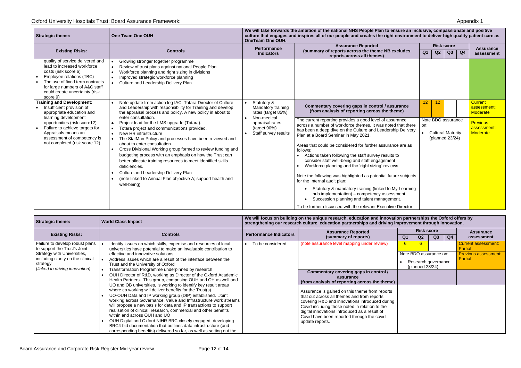| <b>Strategic theme:</b>                                                                                                                                                                                                                | One Team One OUH                                                                                                                                                                                                                                                                                                                                                                                                                                                                                                                                                                                   | <b>OneTeam One OUH.</b>                                                | We will take forwards the ambition of the national NHS People Plan to ensure an inclusive, compassionate and positive<br>culture that engages and inspires all of our people and creates the right environment to deliver high quality patient care as                                                                                                                                                                                                                                                                                                                                                                                                                                                                                                                                                         |                                                                          |                                            |
|----------------------------------------------------------------------------------------------------------------------------------------------------------------------------------------------------------------------------------------|----------------------------------------------------------------------------------------------------------------------------------------------------------------------------------------------------------------------------------------------------------------------------------------------------------------------------------------------------------------------------------------------------------------------------------------------------------------------------------------------------------------------------------------------------------------------------------------------------|------------------------------------------------------------------------|----------------------------------------------------------------------------------------------------------------------------------------------------------------------------------------------------------------------------------------------------------------------------------------------------------------------------------------------------------------------------------------------------------------------------------------------------------------------------------------------------------------------------------------------------------------------------------------------------------------------------------------------------------------------------------------------------------------------------------------------------------------------------------------------------------------|--------------------------------------------------------------------------|--------------------------------------------|
| <b>Existing Risks:</b>                                                                                                                                                                                                                 | <b>Controls</b>                                                                                                                                                                                                                                                                                                                                                                                                                                                                                                                                                                                    | Performance<br><b>Indicators</b>                                       | <b>Assurance Reported</b><br>(summary of reports across the theme NB excludes<br>reports across all themes)                                                                                                                                                                                                                                                                                                                                                                                                                                                                                                                                                                                                                                                                                                    | <b>Risk score</b><br>Q1<br>Q2<br>Q3<br>Q <sub>4</sub>                    | <b>Assurance</b><br>assessment             |
| quality of service delivered and<br>lead to increased workforce<br>costs (risk score 6)<br>Employee relations (TBC)<br>The use of fixed term contracts<br>for large numbers of A&C staff<br>could create uncertainty (risk<br>score 9) | Growing stronger together programme<br>Review of trust plans against national People Plan<br>$\bullet$<br>Workforce planning and right sizing in divisions<br>$\bullet$<br>Improved strategic workforce planning<br>$\bullet$<br>Culture and Leadership Delivery Plan                                                                                                                                                                                                                                                                                                                              |                                                                        |                                                                                                                                                                                                                                                                                                                                                                                                                                                                                                                                                                                                                                                                                                                                                                                                                |                                                                          |                                            |
| <b>Training and Development:</b><br>Insufficient provision of<br>appropriate education and                                                                                                                                             | Note update from action log IAC: Totara Director of Culture<br>and Leadership with responsibility for Training and develop<br>the appraisal process and policy. A new policy in about to<br>enter consultation.                                                                                                                                                                                                                                                                                                                                                                                    | Statutory &<br>Mandatory training<br>rates (target 85%)                | Commentary covering gaps in control / assurance<br>(from analysis of reporting across the theme)                                                                                                                                                                                                                                                                                                                                                                                                                                                                                                                                                                                                                                                                                                               | 12 <sub>2</sub><br>12                                                    | <b>Current</b><br>assessment:<br>Moderate  |
| learning development<br>opportunities (risk score12)<br>Failure to achieve targets for<br>$\bullet$<br>Appraisals means an<br>assessment of competency is<br>not completed (risk score 12)                                             | Project lead for the LMS upgrade (Totara).<br>$\bullet$<br>Totara project and communications provided.<br>New HR infrastructure<br>$\bullet$<br>The StatMan Policy and processes have been reviewed and<br>$\bullet$<br>about to enter consultation.<br>Cross Divisional Working group formed to review funding and<br>$\bullet$<br>budgeting process with an emphasis on how the Trust can<br>better allocate training resources to meet identified skills<br>deficiencies.<br>Culture and Leadership Delivery Plan<br>(note linked to Annual Plan objective A; support health and<br>well-being) | Non-medical<br>appraisal rates<br>(target 90%)<br>Staff survey results | The current reporting provides a good level of assurance<br>across a number of workforce themes. It was noted that there<br>has been a deep dive on the Culture and Leadership Delivery<br>Plan at a Board Seminar in May 2021.<br>Areas that could be considered for further assurance are as<br>follows:<br>Actions taken following the staff survey results to<br>consider staff well-being and staff engagement<br>Workforce planning and the 'right sizing' reviews<br>Note the following was highlighted as potential future subjects<br>for the Internal audit plan:<br>Statutory & mandatory training (linked to My Learning<br>hub implementation) - competency assessment<br>Succession planning and talent management.<br>$\bullet$<br>To be further discussed with the relevant Executive Director | Note BDO assurance<br>on:<br><b>Cultural Maturity</b><br>(planned 23/24) | <b>Previous</b><br>assessment:<br>Moderate |

| <b>Strategic theme:</b>                                                      | <b>World Class Impact</b>                                                                                                                                                                                                                                                                                                                                                                                                                                                                                                                                                                                                                                                                                                                                                                                                            | We will focus on building on the unique research, education and innovation partnerships the Oxford offers by<br>strengthening our research culture, education partnerships and driving improvement through innovation. |                                                                                                                                                                                                                                                                                                                                                                                                                            |                  |                                     |                                               |                |                                        |
|------------------------------------------------------------------------------|--------------------------------------------------------------------------------------------------------------------------------------------------------------------------------------------------------------------------------------------------------------------------------------------------------------------------------------------------------------------------------------------------------------------------------------------------------------------------------------------------------------------------------------------------------------------------------------------------------------------------------------------------------------------------------------------------------------------------------------------------------------------------------------------------------------------------------------|------------------------------------------------------------------------------------------------------------------------------------------------------------------------------------------------------------------------|----------------------------------------------------------------------------------------------------------------------------------------------------------------------------------------------------------------------------------------------------------------------------------------------------------------------------------------------------------------------------------------------------------------------------|------------------|-------------------------------------|-----------------------------------------------|----------------|----------------------------------------|
| <b>Existing Risks:</b>                                                       | <b>Controls</b>                                                                                                                                                                                                                                                                                                                                                                                                                                                                                                                                                                                                                                                                                                                                                                                                                      | <b>Performance Indicators</b>                                                                                                                                                                                          | <b>Assurance Reported</b><br>(summary of reports)                                                                                                                                                                                                                                                                                                                                                                          | Q1               | <b>Risk score</b><br>Q <sub>2</sub> | Q <sub>3</sub>                                | Q <sub>4</sub> | <b>Assurance</b><br>assessment         |
| Failure to develop robust plans<br>to support the Trust's Joint              | Identify issues on which skills, expertise and resources of local<br>universities have potential to make an invaluable contribution to                                                                                                                                                                                                                                                                                                                                                                                                                                                                                                                                                                                                                                                                                               | To be considered                                                                                                                                                                                                       | (note assurance level mapping under review)                                                                                                                                                                                                                                                                                                                                                                                | $6 \overline{6}$ | 6                                   |                                               |                | <b>Current assessment:</b><br>Partial  |
| Strategy with Universities,<br>including clarity on the clinical<br>strategy | effective and innovative solutions<br>Address issues which are a result of the interface between the<br>Trust and the University of Oxford                                                                                                                                                                                                                                                                                                                                                                                                                                                                                                                                                                                                                                                                                           |                                                                                                                                                                                                                        |                                                                                                                                                                                                                                                                                                                                                                                                                            |                  | (planned $23/24$ )                  | Note BDO assurance on:<br>Research governance |                | <b>Previous assessment:</b><br>Partial |
| (linked to driving innovation)                                               | Transformation Programme underpinned by research<br>OUH Director of R&D, working as Director of the Oxford Academic<br>Health Partners. This group, comprising OUH and OH as well and<br>UO and OB universities, is working to identify key result areas<br>where co working will deliver benefits for the Trust(s)<br>UO-OUH Data and IP working group (DIP) established. Joint<br>working across Governance, Value and Infrastructure work streams<br>will propose a new basis for data and IP transactions to support<br>realisation of clinical, research, commercial and other benefits<br>within and across OUH and UO<br>OUH Digital and Oxford NIHR BRC closely engaged, developing<br>BRC4 bid documentation that outlines data infrastructure (and<br>corresponding benefits) delivered so far, as well as setting out the |                                                                                                                                                                                                                        | Commentary covering gaps in control /<br>assurance<br>(from analysis of reporting across the theme)<br>Assurance is gained on this theme from reports<br>that cut across all themes and from reports<br>covering R&D and innovations introduced during<br>Covid including those noted in relation to the<br>digital innovations introduced as a result of<br>Covid have been reported through the covid<br>update reports. |                  |                                     |                                               |                |                                        |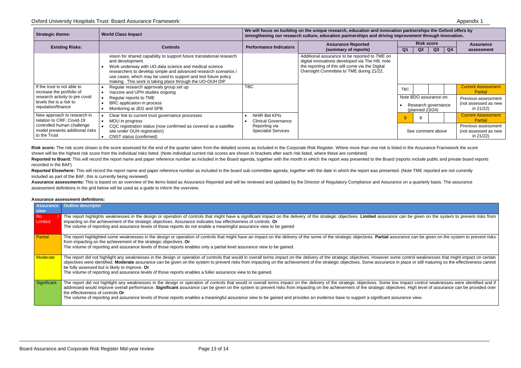ce can be given on the system to prevent risks from

ssurance can be given on the system to prevent risks

ome control weaknesses that might impact on certain e in place or still maturing so the effectiveness cannot

ow impact control weaknesses were identified and if ctives. High level of assurance can be provided over

## Oxford University Hospitals Trust: Board Assurance Framework: Appendix 1

| <b>Strategic theme:</b>                                                         | <b>World Class Impact</b>                                                                                                                                                                                                                                                                                                                            | We will focus on building on the unique research, education and innovation partnerships the Oxford offers by<br>strengthening our research culture, education partnerships and driving improvement through innovation. |                                                                                                                                                                                                  |                   |                                     |                                               |    |                                                             |  |  |
|---------------------------------------------------------------------------------|------------------------------------------------------------------------------------------------------------------------------------------------------------------------------------------------------------------------------------------------------------------------------------------------------------------------------------------------------|------------------------------------------------------------------------------------------------------------------------------------------------------------------------------------------------------------------------|--------------------------------------------------------------------------------------------------------------------------------------------------------------------------------------------------|-------------------|-------------------------------------|-----------------------------------------------|----|-------------------------------------------------------------|--|--|
| <b>Existing Risks:</b>                                                          | <b>Controls</b>                                                                                                                                                                                                                                                                                                                                      | <b>Performance Indicators</b>                                                                                                                                                                                          | <b>Assurance Reported</b><br>(summary of reports)                                                                                                                                                | <b>Q1</b>         | <b>Risk score</b><br>Q <sub>2</sub> | Q3                                            | Q4 | <b>Assurance</b><br>assessment                              |  |  |
|                                                                                 | vision for shared capability to support future translational research<br>and development.<br>Work underway with UO data science and medical science<br>researchers to develop simple and advanced research scenarios /<br>use cases, which may be used to support and test future policy<br>making. This work is taking place through the UO-OUH DIP |                                                                                                                                                                                                                        | Additional assurance to be reported to TME on<br>digital innovations developed via The Hill, note<br>the reporting of this will come via the Digital<br>Oversight Committee to TME during 21/22. |                   |                                     |                                               |    |                                                             |  |  |
| If the trust is not able to<br>increase the portfolio of                        | Regular research approvals group set up<br>Vaccine and UPH studies ongoing                                                                                                                                                                                                                                                                           | <b>TBC</b>                                                                                                                                                                                                             |                                                                                                                                                                                                  | <b>TBC</b>        |                                     |                                               |    | <b>Current Assessment</b><br>Partial                        |  |  |
| research activity to pre covid<br>levels the is a risk to<br>reputation/finance | Regular reports to TME<br>BRC application in process<br>Monitoring at JEG and SPB                                                                                                                                                                                                                                                                    |                                                                                                                                                                                                                        |                                                                                                                                                                                                  |                   | (planned 23/24)                     | Note BDO assurance on:<br>Research governance |    | Previous assessment<br>(not assessed as new<br>in $21/22$ ) |  |  |
| New approach to research in<br>relation to CRF; Covid-19                        | Clear link to current trust governance processes<br>MOU in progress                                                                                                                                                                                                                                                                                  | NHIR Bid KPIs<br><b>Clinical Governance</b>                                                                                                                                                                            |                                                                                                                                                                                                  |                   |                                     |                                               |    | <b>Current Assessment</b><br>Partial                        |  |  |
| controlled human challenge<br>model presents additional risks<br>to the Trust   | CQC registration status (now confirmed as covered as a satellite<br>site under OUH registration)<br>CNST status (confirmed)                                                                                                                                                                                                                          | Reporting via<br><b>Specialist Services</b>                                                                                                                                                                            |                                                                                                                                                                                                  | See comment above |                                     |                                               |    | Previous assessment<br>(not assessed as new<br>in $21/22$ ) |  |  |

Risk score: The risk score shown is the score assessed for the end of the quarter taken from the detailed scores as included in the Corporate Risk Register. Where more than one risk is listed in the Assurance Framework the shown will be the highest risk score from the individual risks listed. (Note individual current risk scores are shown in brackets after each risk listed, where these are combined) Reported to Board: This will record the report name and paper reference number as included in the Board agenda, together with the month in which the report was presented to the Board (reports include public and private boa

Reported Elsewhere: This will record the report name and paper reference number as included in the board sub-committee agenda, together with the date in which the report was presented. (Note TME reported are not currently included as part of the BAF, this is currently being reviewed)

Assurance assessments: This is based on an overview of the items listed as Assurance Reported and will be reviewed and updated by the Director of Regulatory Compliance and Assurance on a quarterly basis. The assurance assessment definitions in the grid below will be used as a guide to inform the overview.

## recorded in the BAF)

## **Assurance assessment definitions:**

| <b>Assurance</b><br>view | <b>Outline descriptor</b>                                                                                                                                                                                                                                                                                                                                                                                                                                                                                                                                                                                      |
|--------------------------|----------------------------------------------------------------------------------------------------------------------------------------------------------------------------------------------------------------------------------------------------------------------------------------------------------------------------------------------------------------------------------------------------------------------------------------------------------------------------------------------------------------------------------------------------------------------------------------------------------------|
| No<br>Limited            | The report highlights weaknesses in the design or operation of controls that might have a significant impact on the delivery of the strategic objectives. Limited assurance can be give<br>impacting on the achievement of the strategic objectives. Assurance indicates low effectiveness of controls. Or<br>The volume of reporting and assurance levels of those reports do not enable a meaningful assurance view to be gained                                                                                                                                                                             |
| Partial                  | The report highlighted some weaknesses in the design or operation of controls that might have an impact on the delivery of the some of the strategic objectives. Partial assurance can b<br>from impacting on the achievement of the strategic objectives. Or<br>The volume of reporting and assurance levels of those reports enables only a partial level assurance view to be gained.                                                                                                                                                                                                                       |
| <b>Moderate</b>          | The report did not highlight any weaknesses in the design or operation of controls that would in overall terms impact on the delivery of the strategic objectives. However some control we<br>objectives were identified. Moderate assurance can be given on the system to prevent risks from impacting on the achievement of the strategic objectives. Some assurance in place or sti<br>be fully assessed but is likely to improve. Or<br>The volume of reporting and assurance levels of those reports enables a fuller assurance view to be gained.                                                        |
| Significant              | The report did not highlight any weaknesses in the design or operation of controls that would in overall terms impact on the delivery of the strategic objectives. Some low impact cont<br>addressed would improve overall performance. Significant assurance can be given on the system to prevent risks from impacting on the achievement of the strategic objectives. High let<br>the effectiveness of controls Or<br>The volume of reporting and assurance levels of those reports enables a meaningful assurance view to be gained and provides an evidence base to support a significant assurance view. |